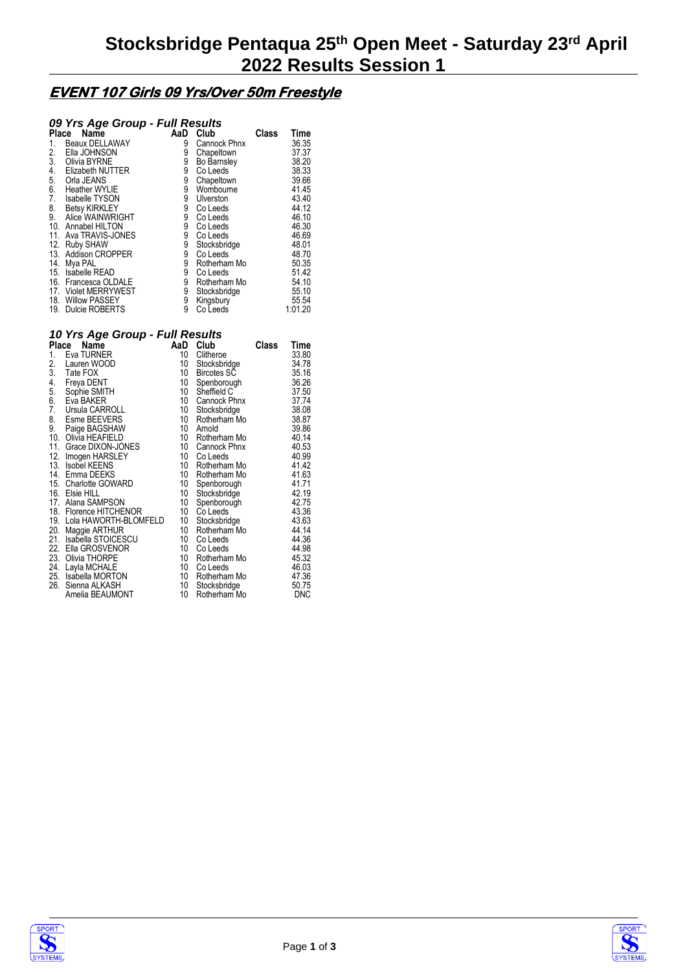### **EVENT 107 Girls 09 Yrs/Over 50m Freestyle**

### *09 Yrs Age Group - Full Results*

| Place | Name                    | AaD | Club         | <b>Class</b> | Time    |
|-------|-------------------------|-----|--------------|--------------|---------|
| 1.    | Beaux DELLAWAY          | 9   | Cannock Phnx |              | 36.35   |
| 2.    | Ella JOHNSON            | 9   | Chapeltown   |              | 37.37   |
| 3.    | Olivia BYRNE            | 9   | Bo Barnsley  |              | 38.20   |
| 4.    | <b>Elizabeth NUTTER</b> | 9   | Co Leeds     |              | 38.33   |
| 5.    | Orla JEANS              | 9   | Chapeltown   |              | 39.66   |
| 6.    | <b>Heather WYLIE</b>    | 9   | Wombourne    |              | 41.45   |
| 7.    | <b>Isabelle TYSON</b>   | 9   | Ulverston    |              | 43.40   |
| 8.    | <b>Betsy KIRKLEY</b>    | 9   | Co Leeds     |              | 44.12   |
| 9.    | Alice WAINWRIGHT        | 9   | Co Leeds     |              | 46.10   |
| 10.   | Annabel HILTON          | 9   | Co Leeds     |              | 46.30   |
| 11.   | Ava TRAVIS-JONES        | 9   | Co Leeds     |              | 46.69   |
| 12.   | <b>Ruby SHAW</b>        | 9   | Stocksbridge |              | 48.01   |
| 13.   | <b>Addison CROPPER</b>  | 9   | Co Leeds     |              | 48.70   |
| 14.   | Mya PAL                 | 9   | Rotherham Mo |              | 50.35   |
|       | 15. Isabelle READ       | 9   | Co Leeds     |              | 51.42   |
|       | 16. Francesca OLDALE    | 9   | Rotherham Mo |              | 54.10   |
|       | 17. Violet MERRYWEST    | 9   | Stocksbridge |              | 55.10   |
| 18.   | <b>Willow PASSEY</b>    | 9   | Kingsbury    |              | 55.54   |
|       | 19. Dulcie ROBERTS      | 9   | Co Leeds     |              | 1:01.20 |

#### *10 Yrs Age Group - Full Results*

|     | Place<br>Name             | AaD | Club               | Class | Time  |
|-----|---------------------------|-----|--------------------|-------|-------|
| 1.  | Eva TURNER                | 10  | Clitheroe          |       | 33.80 |
| 2.  | Lauren WOOD               | 10  | Stocksbridge       |       | 34.78 |
| 3.  | Tate FOX                  | 10  | <b>Bircotes SC</b> |       | 35.16 |
| 4.  | Freya DENT                | 10  | Spenborough        |       | 36.26 |
| 5.  | Sophie SMITH              | 10  | Sheffield C        |       | 37.50 |
| 6.  | Eva BAKER                 | 10  | Cannock Phnx       |       | 37.74 |
| 7.  | Ursula CARROLL            | 10  | Stocksbridge       |       | 38.08 |
| 8.  | Esme BEEVERS              | 10  | Rotherham Mo       |       | 38.87 |
| 9.  | Paige BAGSHAW             | 10  | Arnold             |       | 39.86 |
|     | 10. Olivia HEAFIELD       | 10  | Rotherham Mo       |       | 40.14 |
|     | 11. Grace DIXON-JONES     | 10  | Cannock Phnx       |       | 40.53 |
|     | 12. Imogen HARSLEY        | 10  | Co Leeds           |       | 40.99 |
|     | 13. Isobel KEENS          | 10  | Rotherham Mo       |       | 41.42 |
|     | 14. Emma DEEKS            | 10  | Rotherham Mo       |       | 41.63 |
|     | 15. Charlotte GOWARD      | 10  | Spenborough        |       | 41.71 |
|     | 16. Elsie HILL            | 10  | Stocksbridge       |       | 42.19 |
|     | 17. Alana SAMPSON         | 10  | Spenborough        |       | 42.75 |
|     | 18. Florence HITCHENOR    | 10  | Co Leeds           |       | 43.36 |
|     | 19. Lola HAWORTH-BLOMFELD | 10  | Stocksbridge       |       | 43.63 |
|     | 20. Maggie ARTHUR         | 10  | Rotherham Mo       |       | 44.14 |
| 21. | Isabella STOICESCU        | 10  | Co Leeds           |       | 44.36 |
|     | 22. Ella GROSVENOR        | 10  | Co Leeds           |       | 44.98 |
|     | 23. Olivia THORPE         | 10  | Rotherham Mo       |       | 45.32 |
|     | 24. Layla MCHALE          | 10  | Co Leeds           |       | 46.03 |
|     | 25. Isabella MORTON       | 10  | Rotherham Mo       |       | 47.36 |
| 26. | Sienna ALKASH             | 10  | Stocksbridge       |       | 50.75 |
|     | Amelia BEAUMONT           | 10  | Rotherham Mo       |       | DNC   |



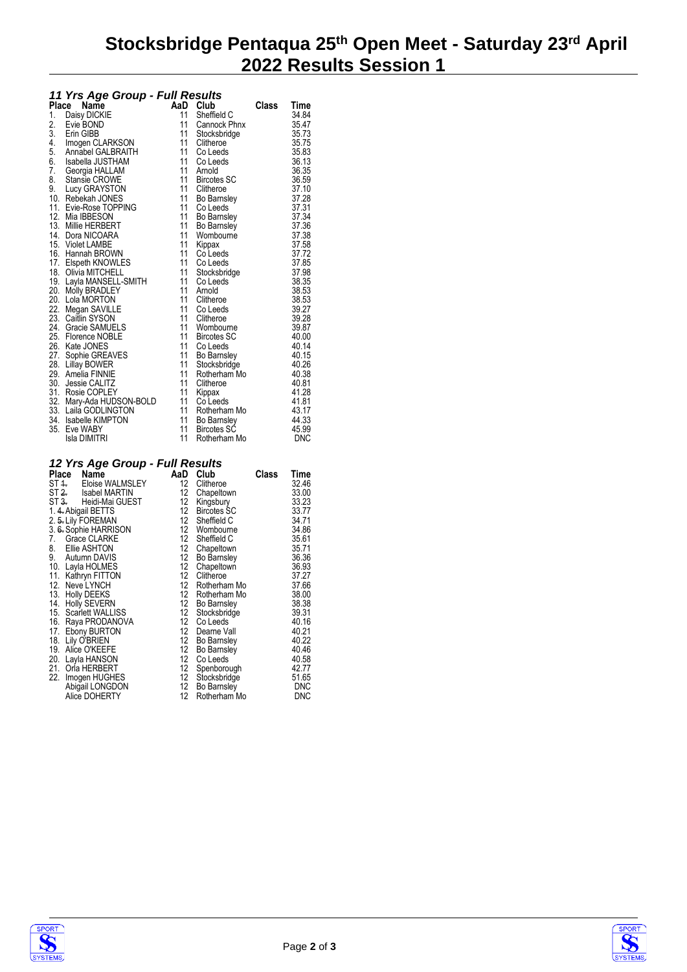## **Stocksbridge Pentaqua 25th Open Meet - Saturday 23rd April 2022 Results Session 1**

|    | 11 Yrs Age Group - Full Results        |          |                       |              |                |  |
|----|----------------------------------------|----------|-----------------------|--------------|----------------|--|
|    | Place Name                             |          | AaD Club              | <b>Class</b> | Time           |  |
| 1. | Daisy DICKIE                           | 11       | Sheffield C           |              | 34.84          |  |
| 2. | Evie BOND                              | 11       | Cannock Phnx          |              | 35.47          |  |
| 3. | Erin GIBB                              | 11       | Stocksbridge          |              | 35.73          |  |
| 4. | Imogen CLARKSON                        | 11       | Clitheroe             |              | 35.75          |  |
| 5. | Annabel GALBRAITH                      | 11       | Co Leeds              |              | 35.83          |  |
| 6. | Isabella JUSTHAM                       | 11       | Co Leeds              |              | 36.13          |  |
| 7. | Georgia HALLAM                         | 11       | Arnold                |              | 36.35          |  |
| 8. | Stansie CROWE                          | 11       | Bircotes SC           |              | 36.59          |  |
| 9. | Lucy GRAYSTON                          | 11       | Clitheroe             |              | 37.10          |  |
|    | 10. Rebekah JONES                      | 11       | Bo Barnsley           |              | 37.28          |  |
|    | 11. Evie-Rose TOPPING                  | 11       | Co Leeds              |              | 37.31          |  |
|    | 12. Mia IBBESON                        | 11       | <b>Bo Barnsley</b>    |              | 37.34          |  |
|    | 13. Millie HERBERT                     | 11       | Bo Barnsley           |              | 37.36          |  |
|    | 14. Dora NICOARA                       | 11       | Wombourne             |              | 37.38          |  |
|    | 15. Violet LAMBE                       | 11       | Kippax                |              | 37.58          |  |
|    | 16. Hannah BROWN                       | 11       | Co Leeds              |              | 37.72          |  |
|    | 17. Elspeth KNOWLES                    | 11       | Co Leeds              |              | 37.85          |  |
|    | 18. Olivia MITCHELL                    | 11       | Stocksbridge          |              | 37.98          |  |
|    | 19. Layla MANSELL-SMITH                | 11<br>11 | Co Leeds              |              | 38.35          |  |
|    | 20. Molly BRADLEY                      | 11       | Arnold                |              | 38.53          |  |
|    | 20. Lola MORTON                        | 11       | Clitheroe             |              | 38.53<br>39.27 |  |
|    | 22. Megan SAVILLE<br>23. Caitlin SYSON | 11       | Co Leeds<br>Clitheroe |              | 39.28          |  |
|    | 24. Gracie SAMUELS                     | 11       | Wombourne             |              | 39.87          |  |
|    | 25. Florence NOBLE                     | 11       | <b>Bircotes SC</b>    |              | 40.00          |  |
|    | 26. Kate JONES                         | 11       | Co Leeds              |              | 40.14          |  |
|    | 27. Sophie GREAVES                     | 11       | Bo Barnsley           |              | 40.15          |  |
|    | 28. Lillay BOWER                       | 11       | Stocksbridge          |              | 40.26          |  |
|    | 29. Amelia FINNIE                      | 11       | Rotherham Mo          |              | 40.38          |  |
|    | 30. Jessie CALITZ                      | 11       | Clitheroe             |              | 40.81          |  |
|    | 31. Rosie COPLEY                       | 11       | Kippax                |              | 41.28          |  |
|    | 32. Mary-Ada HUDSON-BOLD               | 11       | Co Leeds              |              | 41.81          |  |
|    | 33. Laila GODLINGTON                   | 11       | Rotherham Mo          |              | 43.17          |  |

#### *12 Yrs Age Group - Full Results*

| - 110 1190 Oroup                         | , ,,,,,, <b>,,,</b> |                    |       |            |
|------------------------------------------|---------------------|--------------------|-------|------------|
| Name<br>Place                            | AaD                 | Club               | Class | Time       |
| Eloise WALMSLEY<br>ST 4.                 | 12 <sup>12</sup>    | Clitheroe          |       | 32.46      |
| ST <del>2.</del><br><b>Isabel MARTIN</b> | 12                  | Chapeltown         |       | 33.00      |
| ST 3. Heidi-Mai GUEST                    | 12                  | Kingsbury          |       | 33.23      |
| 1. 4. Abigail BETTS                      | 12                  | <b>Bircotes SC</b> |       | 33.77      |
| 2. 5. Lily FOREMAN                       | 12                  | Sheffield C        |       | 34.71      |
| 3. 6. Sophie HARRISON                    |                     | 12 Wombourne       |       | 34.86      |
| 7. Grace CLARKE                          | 12                  | Sheffield C        |       | 35.61      |
| 8. Ellie ASHTON                          |                     | 12 Chapeltown      |       | 35.71      |
| 9. Autumn DAVIS                          |                     | 12 Bo Barnsley     |       | 36.36      |
| 10. Layla HOLMES                         | 12                  | Chapeltown         |       | 36.93      |
| 11. Kathryn FITTON                       | 12                  | Clitheroe          |       | 37.27      |
| 12. Neve LYNCH                           | 12                  | Rotherham Mo       |       | 37.66      |
| 13. Holly DEEKS                          | 12                  | Rotherham Mo       |       | 38.00      |
| 14. Holly SEVERN                         |                     | 12 Bo Barnsley     |       | 38.38      |
| 15. Scarlett WALLISS                     |                     | 12 Stocksbridge    |       | 39.31      |
| 16. Raya PRODANOVA                       | 12                  | Co Leeds           |       | 40.16      |
| 17. Ebony BURTON                         |                     | 12 Dearne Vall     |       | 40.21      |
| 18. Lily O'BRIEN                         | 12                  | Bo Barnsley        |       | 40.22      |
| 19. Alice O'KEEFE                        | 12                  | Bo Barnsley        |       | 40.46      |
| 20. Layla HANSON                         | 12                  | Co Leeds           |       | 40.58      |
| 21. Orla HERBERT                         | 12                  | Spenborough        |       | 42.77      |
| 22. Imogen HUGHES                        | 12                  | Stocksbridge       |       | 51.65      |
| Abigail LONGDON                          | 12                  | Bo Barnsley        |       | <b>DNC</b> |
| Alice DOHERTY                            | 12                  | Rotherham Mo       |       | DNC        |
|                                          |                     |                    |       |            |

30. Jessie CALITZ 11 Clitheroe 40.81 31. Rosie COPLEY 11 Kippax 41.28 32. Mary-Ada HUDSON-BOLD 11 Co Leeds 41.81 33. Laila GODLINGTON 11 Rotherham Mo 43.17 34. Isabelle KIMPTON 11 Bo Barnsley 44.33 35. Eve WABY 11 Bircotes SC 45.99 Isla DIMITRI 11 Rotherham Mo DNC